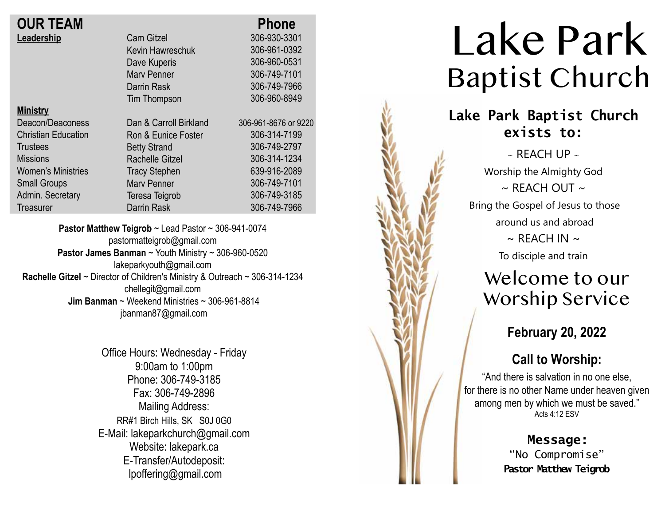|                        | <b>Phone</b>         |
|------------------------|----------------------|
| <b>Cam Gitzel</b>      | 306-930-3301         |
| Kevin Hawreschuk       | 306-961-0392         |
| Dave Kuperis           | 306-960-0531         |
| <b>Mary Penner</b>     | 306-749-7101         |
| Darrin Rask            | 306-749-7966         |
| Tim Thompson           | 306-960-8949         |
|                        |                      |
| Dan & Carroll Birkland | 306-961-8676 or 9220 |
| Ron & Eunice Foster    | 306-314-7199         |
| <b>Betty Strand</b>    | 306-749-2797         |
| <b>Rachelle Gitzel</b> | 306-314-1234         |
| <b>Tracy Stephen</b>   | 639-916-2089         |
| <b>Mary Penner</b>     | 306-749-7101         |
| Teresa Teigrob         | 306-749-3185         |
| Darrin Rask            | 306-749-7966         |
|                        |                      |

**Pastor Matthew Teigrob** ~ Lead Pastor ~ 306-941-0074 pastormatteigrob@gmail.com **Pastor James Banman** ~ Youth Ministry ~ 306-960-0520 lakeparkyouth@gmail.com **Rachelle Gitzel** ~ Director of Children's Ministry & Outreach ~ 306-314-1234 chellegit@gmail.com  **Jim Banman** ~ Weekend Ministries ~ 306-961-8814 jbanman87@gmail.com

> Office Hours: Wednesday - Friday 9:00am to 1:00pm Phone: 306-749-3185 Fax: 306-749-2896 Mailing Address: RR#1 Birch Hills, SK S0J 0G0 E-Mail: lakeparkchurch@gmail.com Website: lakepark.ca E-Transfer/Autodeposit: lpoffering@gmail.com